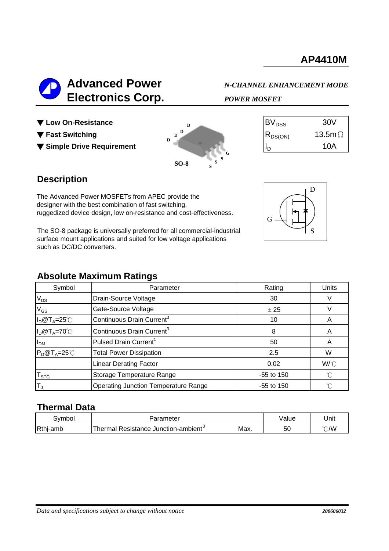

▼ Low On-Resistance

- ▼ Fast Switching
- ▼ Simple Drive Requirement



| 30V            |
|----------------|
| 13.5m $\Omega$ |
| 10A            |
|                |

## **Description**

The Advanced Power MOSFETs from APEC provide the designer with the best combination of fast switching, ruggedized device design, low on-resistance and cost-effectiveness.

The SO-8 package is universally preferred for all commercial-industrial surface mount applications and suited for low voltage applications such as DC/DC converters.

#### **Absolute Maximum Ratings**

| Symbol               | Parameter                             | Rating       | Units       |
|----------------------|---------------------------------------|--------------|-------------|
| $V_{DS}$             | Drain-Source Voltage                  | 30           |             |
| $V_{GS}$             | Gate-Source Voltage                   | ± 25         |             |
| $I_D@T_A=25°C$       | Continuous Drain Current <sup>3</sup> | 10           | A           |
| $I_D@T_A=70°C$       | Continuous Drain Current <sup>3</sup> | 8            | A           |
| I <sub>DM</sub>      | Pulsed Drain Current <sup>1</sup>     | 50           | A           |
| $P_D@T_A=25^\circ C$ | <b>Total Power Dissipation</b>        | 2.5          | W           |
|                      | <b>Linear Derating Factor</b>         | 0.02         | W/°C        |
| $T_{\tt STG}$        | Storage Temperature Range             | $-55$ to 150 | $^{\circ}C$ |
| İΤ,                  | Operating Junction Temperature Range  | $-55$ to 150 | °C          |

### **Thermal Data**

| 3vmbol   | arameter?                                                          |      | /alue | Unit          |
|----------|--------------------------------------------------------------------|------|-------|---------------|
| Rthj-amb | Thermal<br>$\overline{\phantom{a}}$<br>Resistance Junction-ambient | Max. | 50    | $\degree$ C/W |

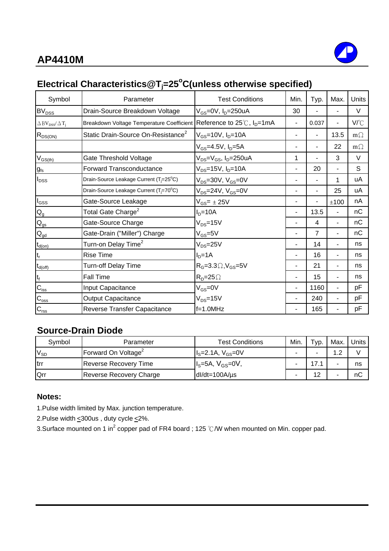

# **Electrical Characteristics@Tj =25o C(unless otherwise specified)**

| Symbol                                               | Parameter                                                                       | <b>Test Conditions</b>                    | Min. | Typ.  | Max.                     | Units     |
|------------------------------------------------------|---------------------------------------------------------------------------------|-------------------------------------------|------|-------|--------------------------|-----------|
| BV <sub>DSS</sub>                                    | Drain-Source Breakdown Voltage                                                  | $V_{GS}$ =0V, $I_D$ =250uA                | 30   |       |                          | V         |
| $\Delta$ BV <sub>DSS</sub> / $\Delta$ T <sub>i</sub> | Breakdown Voltage Temperature Coefficient Reference to 25℃, I <sub>D</sub> =1mA |                                           | ÷,   | 0.037 | $\overline{\phantom{0}}$ | V/°C      |
| $R_{DS(ON)}$                                         | Static Drain-Source On-Resistance <sup>2</sup>                                  | $V_{GS}$ =10V, $I_{D}$ =10A               | ٠    | ۰     | 13.5                     | $m\Omega$ |
|                                                      |                                                                                 | $V_{GS} = 4.5V, I_D = 5A$                 | ٠    | ۰     | 22                       | $m\Omega$ |
| $V_{GS(th)}$                                         | Gate Threshold Voltage                                                          | $V_{DS} = V_{GS}$ , I <sub>D</sub> =250uA | 1    |       | 3                        | V         |
| $g_{\rm fs}$                                         | <b>Forward Transconductance</b>                                                 | $V_{DS} = 15V$ , $I_D = 10A$              | ۰    | 20    |                          | S         |
| $I_{DSS}$                                            | Drain-Source Leakage Current (T <sub>j</sub> =25°C)                             | $V_{DS}$ =30V, $V_{GS}$ =0V               |      | ÷     | 1                        | uA        |
|                                                      | Drain-Source Leakage Current (T <sub>i</sub> =70°C)                             | $V_{DS}$ =24V, $V_{GS}$ =0V               |      |       | 25                       | uA        |
| $I_{GSS}$                                            | Gate-Source Leakage                                                             | $V_{GS}$ = $\pm$ 25V                      | ÷,   |       | ±100                     | nA.       |
| $Q_{g}$                                              | Total Gate Charge <sup>2</sup>                                                  | $ID=10A$                                  | ۰    | 13.5  |                          | nС        |
| $Q_{\underline{\text{gs}}}$                          | Gate-Source Charge                                                              | $V_{DS} = 15V$                            |      | 4     | ٠                        | nC        |
| $Q_{\underline{\mathrm{gd}}}$                        | Gate-Drain ("Miller") Charge                                                    | $V_{GS} = 5V$                             |      | 7     |                          | nС        |
| $t_{d(on)}$                                          | Turn-on Delay Time <sup>2</sup>                                                 | $V_{DS} = 25V$                            |      | 14    |                          | ns        |
| $t_r$                                                | <b>Rise Time</b>                                                                | $ID=1A$                                   | ۰    | 16    |                          | ns        |
| $t_{d(off)}$                                         | Turn-off Delay Time                                                             | $RG=3.3\Omega, VGS=5V$                    | ۰    | 21    |                          | ns        |
| $\mathfrak{t}_{\mathsf{f}}$                          | <b>Fall Time</b>                                                                | $R_p = 25 \Omega$                         |      | 15    |                          | ns        |
| $\mathbf{C}_{\text{iss}}$                            | Input Capacitance                                                               | $V_{GS} = 0V$                             |      | 1160  |                          | рF        |
| $C_{\rm oss}$                                        | <b>Output Capacitance</b>                                                       | $V_{DS} = 15V$                            |      | 240   |                          | рF        |
| $\mathbf{C}_{\text{rss}}$                            | Reverse Transfer Capacitance                                                    | $f=1.0MHz$                                |      | 165   |                          | рF        |

# **Source-Drain Diode**

| Svmbol       | Parameter                       | <b>Test Conditions</b>       | Min. | Typ. | Max.       | Units |
|--------------|---------------------------------|------------------------------|------|------|------------|-------|
| $V_{SD}$     | Forward On Voltage <sup>2</sup> | $I_s = 2.1A$ , $V_{GS} = 0V$ |      |      | $\cdot$ .2 |       |
| <b>I</b> trr | <b>Reverse Recovery Time</b>    | $Is=5A, VGS=0V,$             | -    |      | -          | ns    |
| Qrr          | Reverse Recovery Charge         | $dl/dt = 100A/\mu s$         |      |      |            | nС    |

#### **Notes:**

1.Pulse width limited by Max. junction temperature.

2.Pulse width  $\leq$ 300us, duty cycle  $\leq$ 2%.

3.Surface mounted on 1 in<sup>2</sup> copper pad of FR4 board ; 125 °C/W when mounted on Min. copper pad.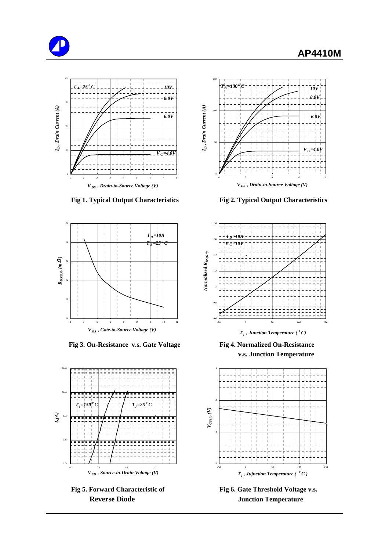





 **Fig 3. On-Resistance v.s. Gate Voltage Fig 4. Normalized On-Resistance**



Fig 5. Forward Characteristic of Fig 6. Gate Threshold Voltage v.s.



**Fig 1. Typical Output Characteristics Fig 2. Typical Output Characteristics**



*T j , Junction Temperature ( <sup>o</sup> C)*

 **v.s. Junction Temperature**



**Reverse Diode Junction Temperature**